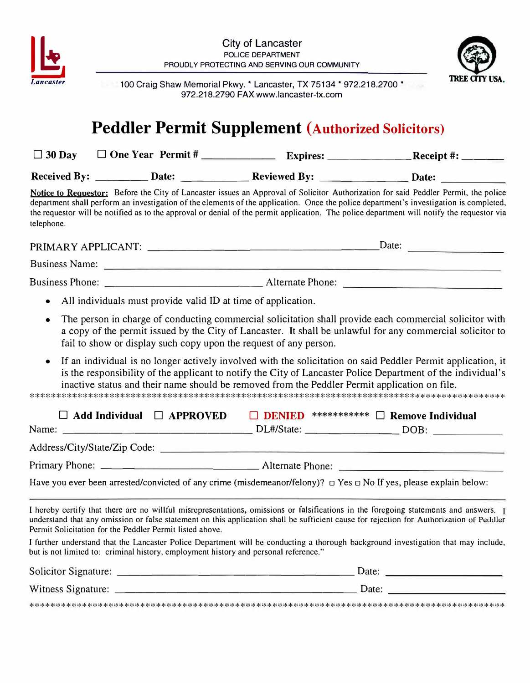



100 Craig Shaw Memorial Pkwy. \* Lancaster. TX 75134 \* 972.218.2700 \* 972.218.2790 FAX www.lancaster-tx.com

## **Peddler Permit Supplement (Authorized Solicitors)**

| $\Box$ 30 Day       | $\Box$ One Year Permit # | <b>Expires:</b>     | Receipt #:   |
|---------------------|--------------------------|---------------------|--------------|
| <b>Received By:</b> | <b>Date:</b>             | <b>Reviewed By:</b> | <b>Date:</b> |

Notice to Requestor: Before the City of Lancaster issues an Approval of Solicitor Authorization for said Peddler Permit, the police department shall perform an investigation of the elements of the application. Once the police department's investigation is completed, the requestor will be notified as to the approval or denial of the permit application. The police department will notify the requestor via telephone.

- All individuals must provide valid ID at time of application.  $\bullet$
- The person in charge of conducting commercial solicitation shall provide each commercial solicitor with  $\bullet$ a copy of the permit issued by the City of Lancaster. It shall be unlawful for any commercial solicitor to fail to show or display such copy upon the request of any person.
- If an individual is no longer actively involved with the solicitation on said Peddler Permit application, it  $\bullet$ is the responsibility of the applicant to notify the City of Lancaster Police Department of the individual's inactive status and their name should be removed from the Peddler Permit application on file.

| $\Box$ Add Individual $\Box$ APPROVED                                                                                                                                                                                                                                                                                                         | DENIED | ***********<br><b>Remove Individual</b>                                          |  |  |  |  |  |
|-----------------------------------------------------------------------------------------------------------------------------------------------------------------------------------------------------------------------------------------------------------------------------------------------------------------------------------------------|--------|----------------------------------------------------------------------------------|--|--|--|--|--|
|                                                                                                                                                                                                                                                                                                                                               |        | DL#/State: ___________________________________DOB: _____________________________ |  |  |  |  |  |
|                                                                                                                                                                                                                                                                                                                                               |        |                                                                                  |  |  |  |  |  |
|                                                                                                                                                                                                                                                                                                                                               |        |                                                                                  |  |  |  |  |  |
| Have you ever been arrested/convicted of any crime (misdemeanor/felony)? $\Box$ Yes $\Box$ No If yes, please explain below:                                                                                                                                                                                                                   |        |                                                                                  |  |  |  |  |  |
| I hereby certify that there are no willful misrepresentations, omissions or falsifications in the foregoing statements and answers. I<br>understand that any omission or false statement on this application shall be sufficient cause for rejection for Authorization of Peddler<br>Permit Solicitation for the Peddler Permit listed above. |        |                                                                                  |  |  |  |  |  |
| I further understand that the Lancaster Police Department will be conducting a thorough background investigation that may include,<br>but is not limited to: criminal history, employment history and personal reference."                                                                                                                    |        |                                                                                  |  |  |  |  |  |
| Solicitor Signature:                                                                                                                                                                                                                                                                                                                          |        | Date:                                                                            |  |  |  |  |  |

| SUILRUI SIGNATULE. | Dalc        |
|--------------------|-------------|
| Witness Signature: | <b>Date</b> |
|                    |             |